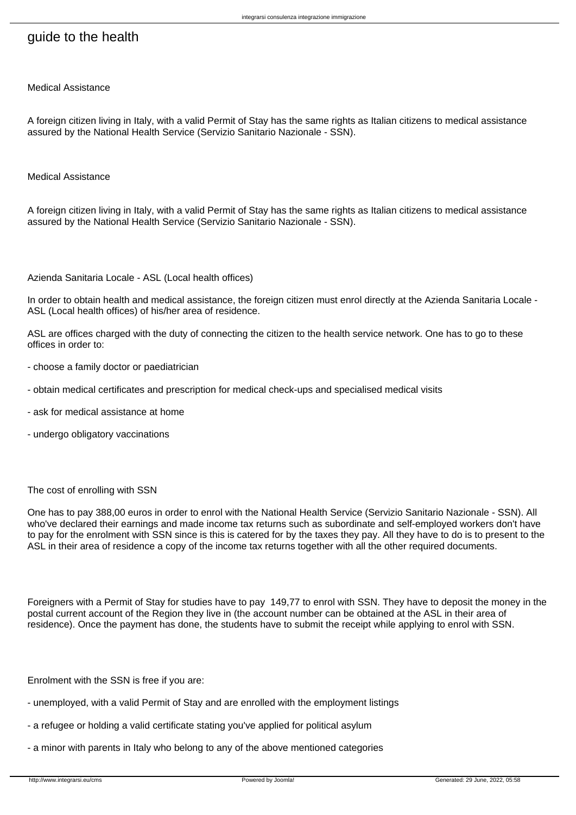# guide to the health

Medical Assistance

A foreign citizen living in Italy, with a valid Permit of Stay has the same rights as Italian citizens to medical assistance assured by the National Health Service (Servizio Sanitario Nazionale - SSN).

Medical Assistance

A foreign citizen living in Italy, with a valid Permit of Stay has the same rights as Italian citizens to medical assistance assured by the National Health Service (Servizio Sanitario Nazionale - SSN).

Azienda Sanitaria Locale - ASL (Local health offices)

In order to obtain health and medical assistance, the foreign citizen must enrol directly at the Azienda Sanitaria Locale - ASL (Local health offices) of his/her area of residence.

ASL are offices charged with the duty of connecting the citizen to the health service network. One has to go to these offices in order to:

- choose a family doctor or paediatrician
- obtain medical certificates and prescription for medical check-ups and specialised medical visits
- ask for medical assistance at home
- undergo obligatory vaccinations

#### The cost of enrolling with SSN

One has to pay 388,00 euros in order to enrol with the National Health Service (Servizio Sanitario Nazionale - SSN). All who've declared their earnings and made income tax returns such as subordinate and self-employed workers don't have to pay for the enrolment with SSN since is this is catered for by the taxes they pay. All they have to do is to present to the ASL in their area of residence a copy of the income tax returns together with all the other required documents.

Foreigners with a Permit of Stay for studies have to pay 149,77 to enrol with SSN. They have to deposit the money in the postal current account of the Region they live in (the account number can be obtained at the ASL in their area of residence). Once the payment has done, the students have to submit the receipt while applying to enrol with SSN.

Enrolment with the SSN is free if you are:

- unemployed, with a valid Permit of Stay and are enrolled with the employment listings
- a refugee or holding a valid certificate stating you've applied for political asylum
- a minor with parents in Italy who belong to any of the above mentioned categories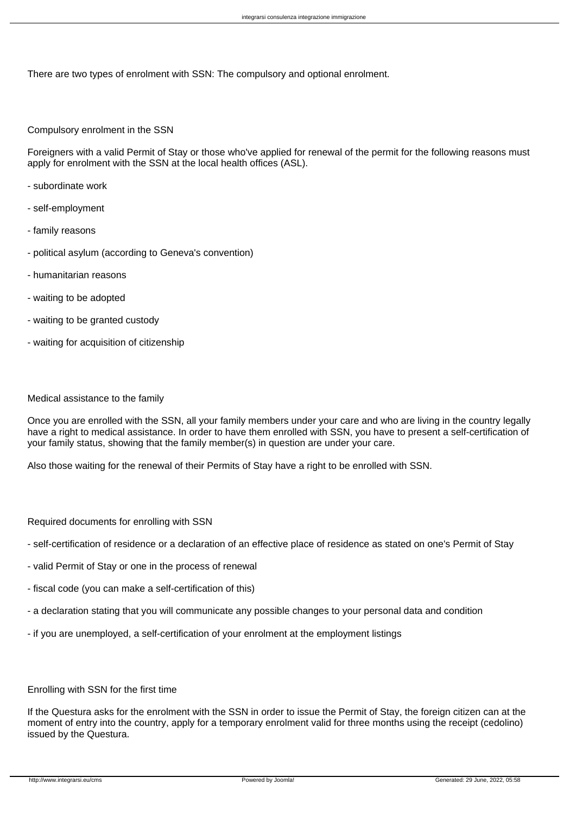There are two types of enrolment with SSN: The compulsory and optional enrolment.

## Compulsory enrolment in the SSN

Foreigners with a valid Permit of Stay or those who've applied for renewal of the permit for the following reasons must apply for enrolment with the SSN at the local health offices (ASL).

- subordinate work
- self-employment
- family reasons
- political asylum (according to Geneva's convention)
- humanitarian reasons
- waiting to be adopted
- waiting to be granted custody
- waiting for acquisition of citizenship

## Medical assistance to the family

Once you are enrolled with the SSN, all your family members under your care and who are living in the country legally have a right to medical assistance. In order to have them enrolled with SSN, you have to present a self-certification of your family status, showing that the family member(s) in question are under your care.

Also those waiting for the renewal of their Permits of Stay have a right to be enrolled with SSN.

Required documents for enrolling with SSN

- self-certification of residence or a declaration of an effective place of residence as stated on one's Permit of Stay
- valid Permit of Stay or one in the process of renewal
- fiscal code (you can make a self-certification of this)
- a declaration stating that you will communicate any possible changes to your personal data and condition
- if you are unemployed, a self-certification of your enrolment at the employment listings

# Enrolling with SSN for the first time

If the Questura asks for the enrolment with the SSN in order to issue the Permit of Stay, the foreign citizen can at the moment of entry into the country, apply for a temporary enrolment valid for three months using the receipt (cedolino) issued by the Questura.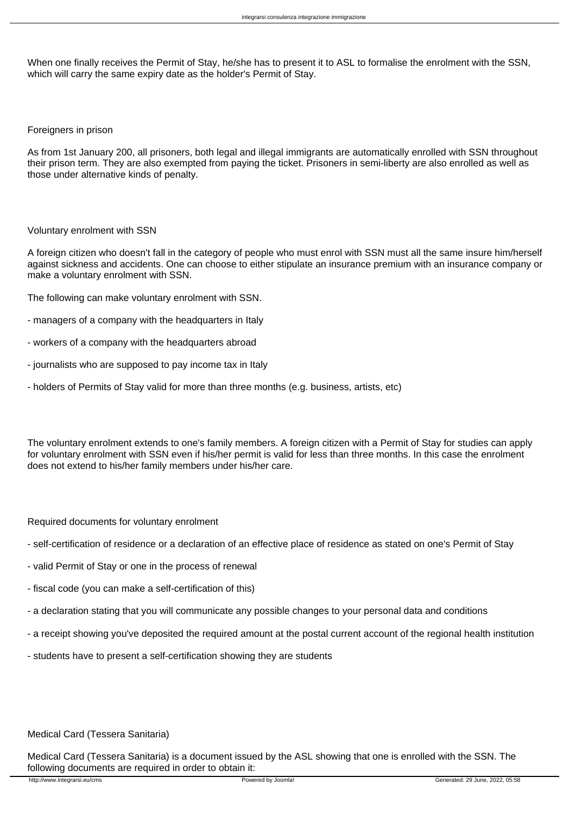When one finally receives the Permit of Stay, he/she has to present it to ASL to formalise the enrolment with the SSN, which will carry the same expiry date as the holder's Permit of Stay.

## Foreigners in prison

As from 1st January 200, all prisoners, both legal and illegal immigrants are automatically enrolled with SSN throughout their prison term. They are also exempted from paying the ticket. Prisoners in semi-liberty are also enrolled as well as those under alternative kinds of penalty.

## Voluntary enrolment with SSN

A foreign citizen who doesn't fall in the category of people who must enrol with SSN must all the same insure him/herself against sickness and accidents. One can choose to either stipulate an insurance premium with an insurance company or make a voluntary enrolment with SSN.

The following can make voluntary enrolment with SSN.

- managers of a company with the headquarters in Italy
- workers of a company with the headquarters abroad
- journalists who are supposed to pay income tax in Italy
- holders of Permits of Stay valid for more than three months (e.g. business, artists, etc)

The voluntary enrolment extends to one's family members. A foreign citizen with a Permit of Stay for studies can apply for voluntary enrolment with SSN even if his/her permit is valid for less than three months. In this case the enrolment does not extend to his/her family members under his/her care.

Required documents for voluntary enrolment

- self-certification of residence or a declaration of an effective place of residence as stated on one's Permit of Stay
- valid Permit of Stay or one in the process of renewal
- fiscal code (you can make a self-certification of this)
- a declaration stating that you will communicate any possible changes to your personal data and conditions
- a receipt showing you've deposited the required amount at the postal current account of the regional health institution
- students have to present a self-certification showing they are students

# Medical Card (Tessera Sanitaria)

Medical Card (Tessera Sanitaria) is a document issued by the ASL showing that one is enrolled with the SSN. The following documents are required in order to obtain it: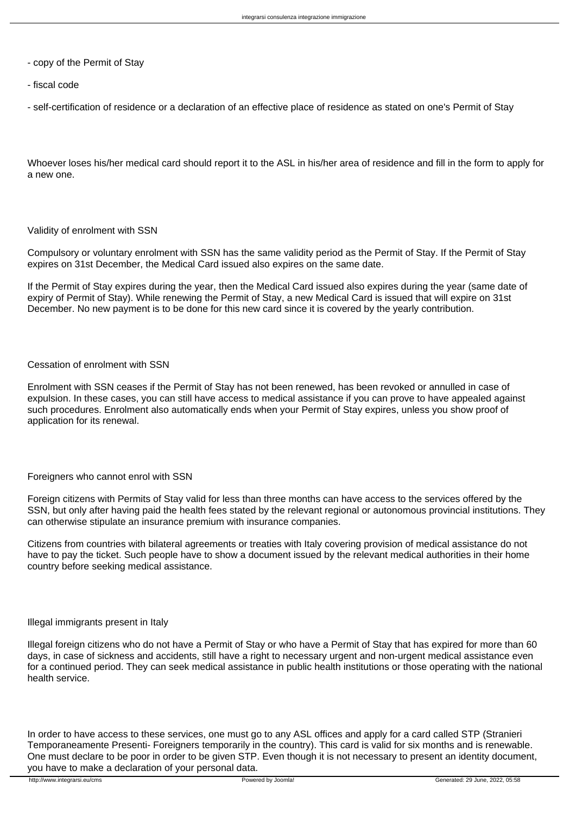- copy of the Permit of Stay
- fiscal code

- self-certification of residence or a declaration of an effective place of residence as stated on one's Permit of Stay

Whoever loses his/her medical card should report it to the ASL in his/her area of residence and fill in the form to apply for a new one.

## Validity of enrolment with SSN

Compulsory or voluntary enrolment with SSN has the same validity period as the Permit of Stay. If the Permit of Stay expires on 31st December, the Medical Card issued also expires on the same date.

If the Permit of Stay expires during the year, then the Medical Card issued also expires during the year (same date of expiry of Permit of Stay). While renewing the Permit of Stay, a new Medical Card is issued that will expire on 31st December. No new payment is to be done for this new card since it is covered by the yearly contribution.

# Cessation of enrolment with SSN

Enrolment with SSN ceases if the Permit of Stay has not been renewed, has been revoked or annulled in case of expulsion. In these cases, you can still have access to medical assistance if you can prove to have appealed against such procedures. Enrolment also automatically ends when your Permit of Stay expires, unless you show proof of application for its renewal.

# Foreigners who cannot enrol with SSN

Foreign citizens with Permits of Stay valid for less than three months can have access to the services offered by the SSN, but only after having paid the health fees stated by the relevant regional or autonomous provincial institutions. They can otherwise stipulate an insurance premium with insurance companies.

Citizens from countries with bilateral agreements or treaties with Italy covering provision of medical assistance do not have to pay the ticket. Such people have to show a document issued by the relevant medical authorities in their home country before seeking medical assistance.

## Illegal immigrants present in Italy

Illegal foreign citizens who do not have a Permit of Stay or who have a Permit of Stay that has expired for more than 60 days, in case of sickness and accidents, still have a right to necessary urgent and non-urgent medical assistance even for a continued period. They can seek medical assistance in public health institutions or those operating with the national health service.

In order to have access to these services, one must go to any ASL offices and apply for a card called STP (Stranieri Temporaneamente Presenti- Foreigners temporarily in the country). This card is valid for six months and is renewable. One must declare to be poor in order to be given STP. Even though it is not necessary to present an identity document, you have to make a declaration of your personal data.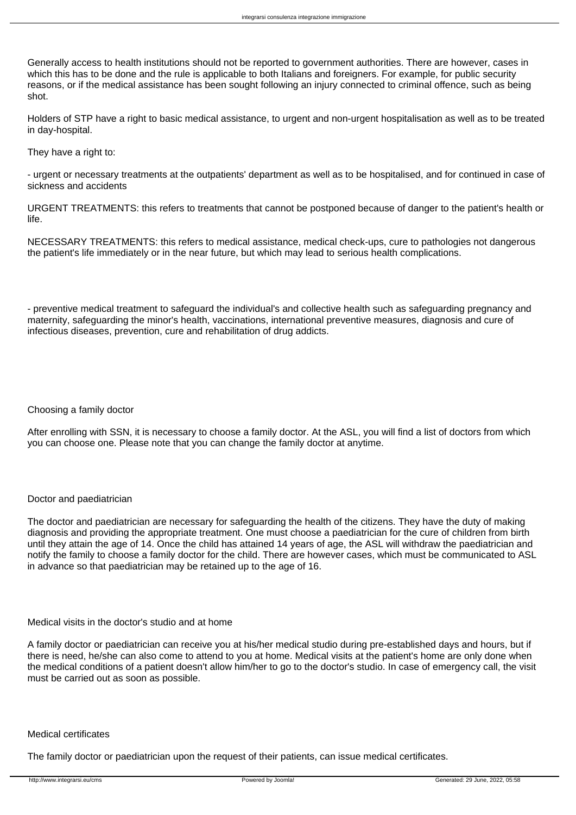Generally access to health institutions should not be reported to government authorities. There are however, cases in which this has to be done and the rule is applicable to both Italians and foreigners. For example, for public security reasons, or if the medical assistance has been sought following an injury connected to criminal offence, such as being shot.

Holders of STP have a right to basic medical assistance, to urgent and non-urgent hospitalisation as well as to be treated in day-hospital.

They have a right to:

- urgent or necessary treatments at the outpatients' department as well as to be hospitalised, and for continued in case of sickness and accidents

URGENT TREATMENTS: this refers to treatments that cannot be postponed because of danger to the patient's health or life.

NECESSARY TREATMENTS: this refers to medical assistance, medical check-ups, cure to pathologies not dangerous the patient's life immediately or in the near future, but which may lead to serious health complications.

- preventive medical treatment to safeguard the individual's and collective health such as safeguarding pregnancy and maternity, safeguarding the minor's health, vaccinations, international preventive measures, diagnosis and cure of infectious diseases, prevention, cure and rehabilitation of drug addicts.

# Choosing a family doctor

After enrolling with SSN, it is necessary to choose a family doctor. At the ASL, you will find a list of doctors from which you can choose one. Please note that you can change the family doctor at anytime.

# Doctor and paediatrician

The doctor and paediatrician are necessary for safeguarding the health of the citizens. They have the duty of making diagnosis and providing the appropriate treatment. One must choose a paediatrician for the cure of children from birth until they attain the age of 14. Once the child has attained 14 years of age, the ASL will withdraw the paediatrician and notify the family to choose a family doctor for the child. There are however cases, which must be communicated to ASL in advance so that paediatrician may be retained up to the age of 16.

#### Medical visits in the doctor's studio and at home

A family doctor or paediatrician can receive you at his/her medical studio during pre-established days and hours, but if there is need, he/she can also come to attend to you at home. Medical visits at the patient's home are only done when the medical conditions of a patient doesn't allow him/her to go to the doctor's studio. In case of emergency call, the visit must be carried out as soon as possible.

## Medical certificates

The family doctor or paediatrician upon the request of their patients, can issue medical certificates.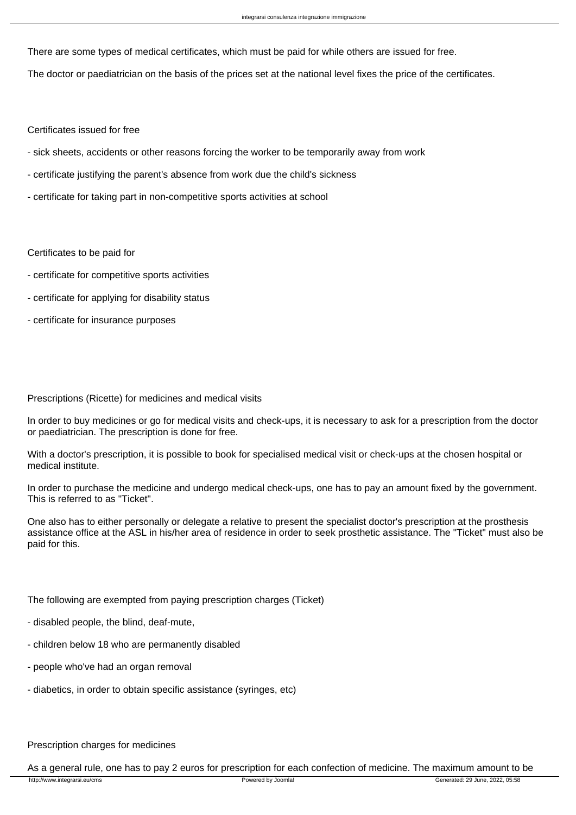There are some types of medical certificates, which must be paid for while others are issued for free.

The doctor or paediatrician on the basis of the prices set at the national level fixes the price of the certificates.

Certificates issued for free

- sick sheets, accidents or other reasons forcing the worker to be temporarily away from work
- certificate justifying the parent's absence from work due the child's sickness
- certificate for taking part in non-competitive sports activities at school

Certificates to be paid for

- certificate for competitive sports activities
- certificate for applying for disability status
- certificate for insurance purposes

## Prescriptions (Ricette) for medicines and medical visits

In order to buy medicines or go for medical visits and check-ups, it is necessary to ask for a prescription from the doctor or paediatrician. The prescription is done for free.

With a doctor's prescription, it is possible to book for specialised medical visit or check-ups at the chosen hospital or medical institute.

In order to purchase the medicine and undergo medical check-ups, one has to pay an amount fixed by the government. This is referred to as "Ticket".

One also has to either personally or delegate a relative to present the specialist doctor's prescription at the prosthesis assistance office at the ASL in his/her area of residence in order to seek prosthetic assistance. The "Ticket" must also be paid for this.

The following are exempted from paying prescription charges (Ticket)

- disabled people, the blind, deaf-mute,
- children below 18 who are permanently disabled
- people who've had an organ removal
- diabetics, in order to obtain specific assistance (syringes, etc)

# Prescription charges for medicines

As a general rule, one has to pay 2 euros for prescription for each confection of medicine. The maximum amount to be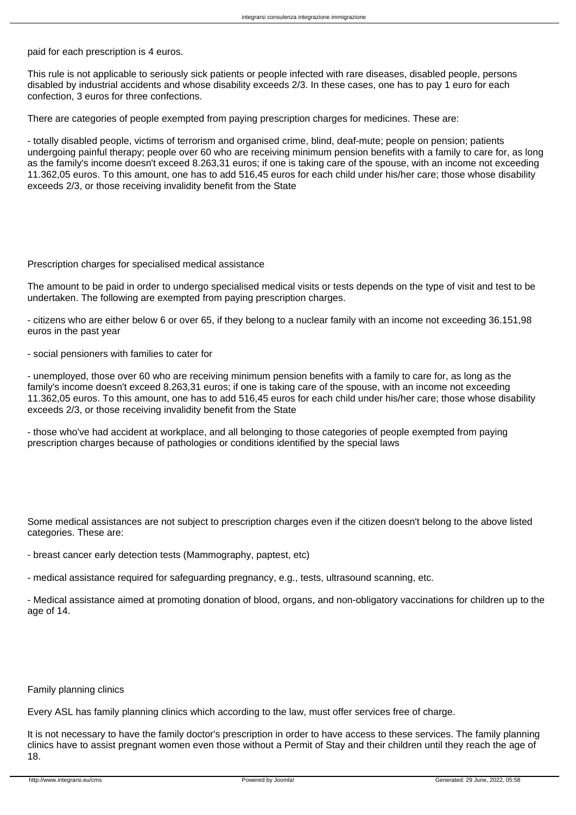paid for each prescription is 4 euros.

This rule is not applicable to seriously sick patients or people infected with rare diseases, disabled people, persons disabled by industrial accidents and whose disability exceeds 2/3. In these cases, one has to pay 1 euro for each confection, 3 euros for three confections.

There are categories of people exempted from paying prescription charges for medicines. These are:

- totally disabled people, victims of terrorism and organised crime, blind, deaf-mute; people on pension; patients undergoing painful therapy; people over 60 who are receiving minimum pension benefits with a family to care for, as long as the family's income doesn't exceed 8.263,31 euros; if one is taking care of the spouse, with an income not exceeding 11.362,05 euros. To this amount, one has to add 516,45 euros for each child under his/her care; those whose disability exceeds 2/3, or those receiving invalidity benefit from the State

## Prescription charges for specialised medical assistance

The amount to be paid in order to undergo specialised medical visits or tests depends on the type of visit and test to be undertaken. The following are exempted from paying prescription charges.

- citizens who are either below 6 or over 65, if they belong to a nuclear family with an income not exceeding 36.151,98 euros in the past year

- social pensioners with families to cater for

- unemployed, those over 60 who are receiving minimum pension benefits with a family to care for, as long as the family's income doesn't exceed 8.263,31 euros; if one is taking care of the spouse, with an income not exceeding 11.362,05 euros. To this amount, one has to add 516,45 euros for each child under his/her care; those whose disability exceeds 2/3, or those receiving invalidity benefit from the State

- those who've had accident at workplace, and all belonging to those categories of people exempted from paying prescription charges because of pathologies or conditions identified by the special laws

Some medical assistances are not subject to prescription charges even if the citizen doesn't belong to the above listed categories. These are:

- breast cancer early detection tests (Mammography, paptest, etc)

- medical assistance required for safeguarding pregnancy, e.g., tests, ultrasound scanning, etc.

- Medical assistance aimed at promoting donation of blood, organs, and non-obligatory vaccinations for children up to the age of 14.

#### Family planning clinics

Every ASL has family planning clinics which according to the law, must offer services free of charge.

It is not necessary to have the family doctor's prescription in order to have access to these services. The family planning clinics have to assist pregnant women even those without a Permit of Stay and their children until they reach the age of 18.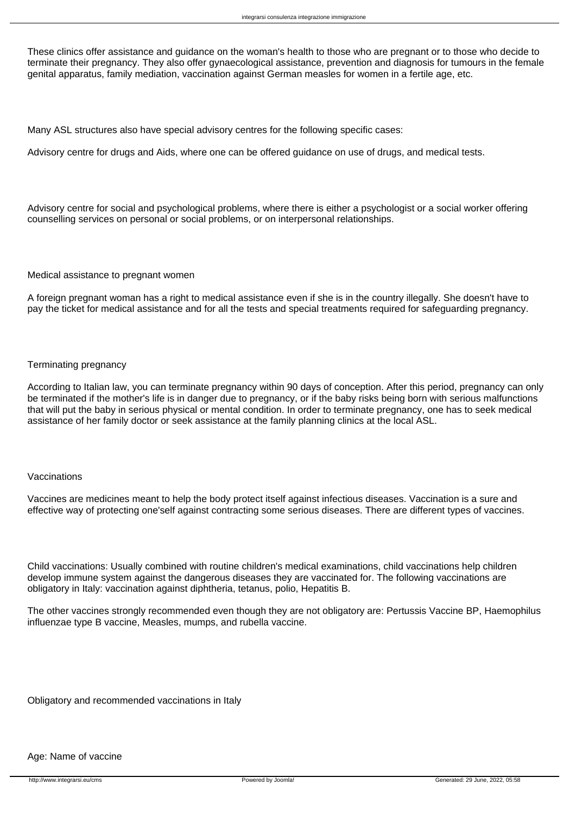These clinics offer assistance and guidance on the woman's health to those who are pregnant or to those who decide to terminate their pregnancy. They also offer gynaecological assistance, prevention and diagnosis for tumours in the female genital apparatus, family mediation, vaccination against German measles for women in a fertile age, etc.

Many ASL structures also have special advisory centres for the following specific cases:

Advisory centre for drugs and Aids, where one can be offered guidance on use of drugs, and medical tests.

Advisory centre for social and psychological problems, where there is either a psychologist or a social worker offering counselling services on personal or social problems, or on interpersonal relationships.

#### Medical assistance to pregnant women

A foreign pregnant woman has a right to medical assistance even if she is in the country illegally. She doesn't have to pay the ticket for medical assistance and for all the tests and special treatments required for safeguarding pregnancy.

## Terminating pregnancy

According to Italian law, you can terminate pregnancy within 90 days of conception. After this period, pregnancy can only be terminated if the mother's life is in danger due to pregnancy, or if the baby risks being born with serious malfunctions that will put the baby in serious physical or mental condition. In order to terminate pregnancy, one has to seek medical assistance of her family doctor or seek assistance at the family planning clinics at the local ASL.

## Vaccinations

Vaccines are medicines meant to help the body protect itself against infectious diseases. Vaccination is a sure and effective way of protecting one'self against contracting some serious diseases. There are different types of vaccines.

Child vaccinations: Usually combined with routine children's medical examinations, child vaccinations help children develop immune system against the dangerous diseases they are vaccinated for. The following vaccinations are obligatory in Italy: vaccination against diphtheria, tetanus, polio, Hepatitis B.

The other vaccines strongly recommended even though they are not obligatory are: Pertussis Vaccine BP, Haemophilus influenzae type B vaccine, Measles, mumps, and rubella vaccine.

Obligatory and recommended vaccinations in Italy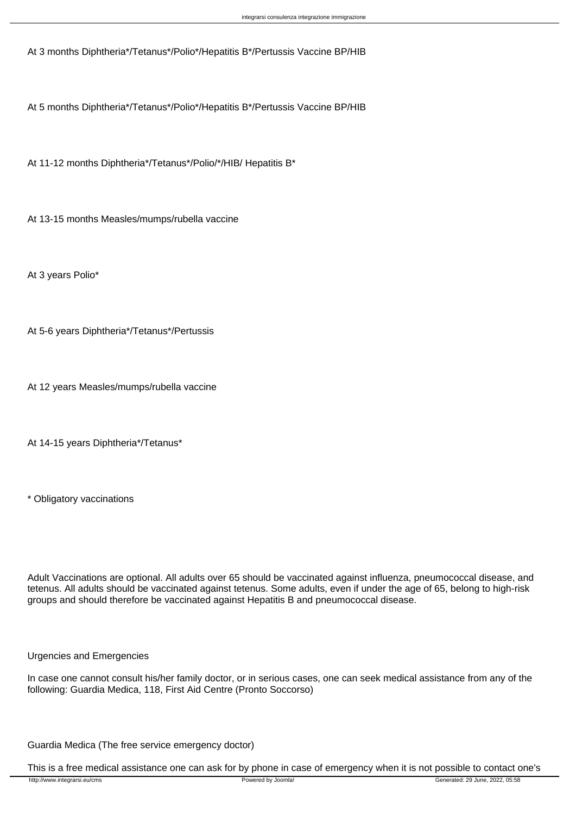At 3 months Diphtheria\*/Tetanus\*/Polio\*/Hepatitis B\*/Pertussis Vaccine BP/HIB

At 5 months Diphtheria\*/Tetanus\*/Polio\*/Hepatitis B\*/Pertussis Vaccine BP/HIB

At 11-12 months Diphtheria\*/Tetanus\*/Polio/\*/HIB/ Hepatitis B\*

At 13-15 months Measles/mumps/rubella vaccine

At 3 years Polio\*

At 5-6 years Diphtheria\*/Tetanus\*/Pertussis

At 12 years Measles/mumps/rubella vaccine

At 14-15 years Diphtheria\*/Tetanus\*

\* Obligatory vaccinations

Adult Vaccinations are optional. All adults over 65 should be vaccinated against influenza, pneumococcal disease, and tetenus. All adults should be vaccinated against tetenus. Some adults, even if under the age of 65, belong to high-risk groups and should therefore be vaccinated against Hepatitis B and pneumococcal disease.

Urgencies and Emergencies

In case one cannot consult his/her family doctor, or in serious cases, one can seek medical assistance from any of the following: Guardia Medica, 118, First Aid Centre (Pronto Soccorso)

Guardia Medica (The free service emergency doctor)

This is a free medical assistance one can ask for by phone in case of emergency when it is not possible to contact one's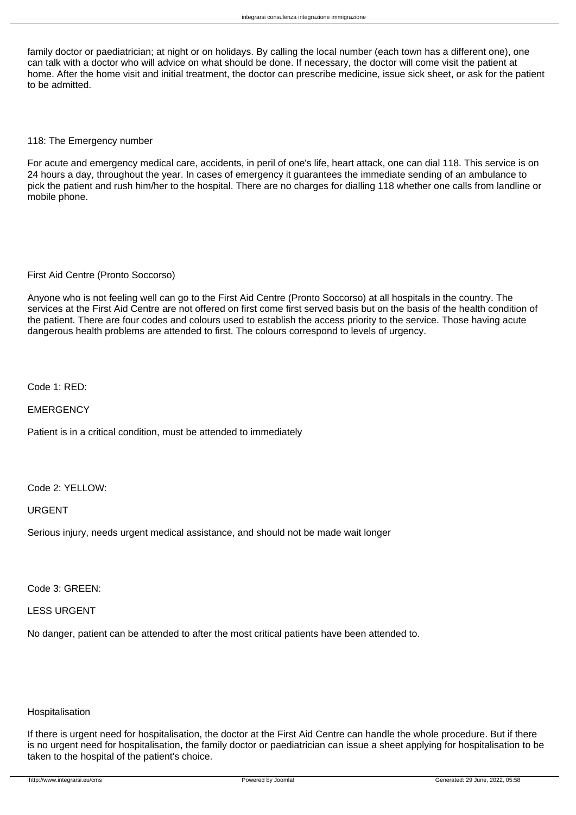family doctor or paediatrician; at night or on holidays. By calling the local number (each town has a different one), one can talk with a doctor who will advice on what should be done. If necessary, the doctor will come visit the patient at home. After the home visit and initial treatment, the doctor can prescribe medicine, issue sick sheet, or ask for the patient to be admitted.

## 118: The Emergency number

For acute and emergency medical care, accidents, in peril of one's life, heart attack, one can dial 118. This service is on 24 hours a day, throughout the year. In cases of emergency it guarantees the immediate sending of an ambulance to pick the patient and rush him/her to the hospital. There are no charges for dialling 118 whether one calls from landline or mobile phone.

## First Aid Centre (Pronto Soccorso)

Anyone who is not feeling well can go to the First Aid Centre (Pronto Soccorso) at all hospitals in the country. The services at the First Aid Centre are not offered on first come first served basis but on the basis of the health condition of the patient. There are four codes and colours used to establish the access priority to the service. Those having acute dangerous health problems are attended to first. The colours correspond to levels of urgency.

Code 1: RED:

**EMERGENCY** 

Patient is in a critical condition, must be attended to immediately

#### Code 2: YELLOW:

URGENT

Serious injury, needs urgent medical assistance, and should not be made wait longer

Code 3: GREEN:

LESS URGENT

No danger, patient can be attended to after the most critical patients have been attended to.

## **Hospitalisation**

If there is urgent need for hospitalisation, the doctor at the First Aid Centre can handle the whole procedure. But if there is no urgent need for hospitalisation, the family doctor or paediatrician can issue a sheet applying for hospitalisation to be taken to the hospital of the patient's choice.